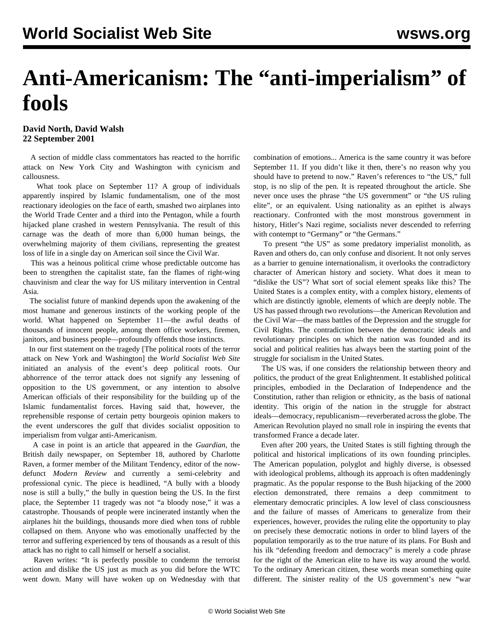## **Anti-Americanism: The "anti-imperialism" of fools**

## **David North, David Walsh 22 September 2001**

 A section of middle class commentators has reacted to the horrific attack on New York City and Washington with cynicism and callousness.

 What took place on September 11? A group of individuals apparently inspired by Islamic fundamentalism, one of the most reactionary ideologies on the face of earth, smashed two airplanes into the World Trade Center and a third into the Pentagon, while a fourth hijacked plane crashed in western Pennsylvania. The result of this carnage was the death of more than 6,000 human beings, the overwhelming majority of them civilians, representing the greatest loss of life in a single day on American soil since the Civil War.

 This was a heinous political crime whose predictable outcome has been to strengthen the capitalist state, fan the flames of right-wing chauvinism and clear the way for US military intervention in Central Asia.

 The socialist future of mankind depends upon the awakening of the most humane and generous instincts of the working people of the world. What happened on September 11—the awful deaths of thousands of innocent people, among them office workers, firemen, janitors, and business people—profoundly offends those instincts.

 In our first statement on the tragedy [\[The political roots of the terror](/en/articles/2001/09/terr-s12.html) [attack on New York and Washington](/en/articles/2001/09/terr-s12.html)] the *World Socialist Web Site* initiated an analysis of the event's deep political roots. Our abhorrence of the terror attack does not signify any lessening of opposition to the US government, or any intention to absolve American officials of their responsibility for the building up of the Islamic fundamentalist forces. Having said that, however, the reprehensible response of certain petty bourgeois opinion makers to the event underscores the gulf that divides socialist opposition to imperialism from vulgar anti-Americanism.

 A case in point is an article that appeared in the *Guardian*, the British daily newspaper, on September 18, authored by Charlotte Raven, a former member of the Militant Tendency, editor of the nowdefunct *Modern Review* and currently a semi-celebrity and professional cynic. The piece is headlined, "A bully with a bloody nose is still a bully," the bully in question being the US. In the first place, the September 11 tragedy was not "a bloody nose," it was a catastrophe. Thousands of people were incinerated instantly when the airplanes hit the buildings, thousands more died when tons of rubble collapsed on them. Anyone who was emotionally unaffected by the terror and suffering experienced by tens of thousands as a result of this attack has no right to call himself or herself a socialist.

 Raven writes: "It is perfectly possible to condemn the terrorist action and dislike the US just as much as you did before the WTC went down. Many will have woken up on Wednesday with that

combination of emotions... America is the same country it was before September 11. If you didn't like it then, there's no reason why you should have to pretend to now." Raven's references to "the US," full stop, is no slip of the pen. It is repeated throughout the article. She never once uses the phrase "the US government" or "the US ruling elite", or an equivalent. Using nationality as an epithet is always reactionary. Confronted with the most monstrous government in history, Hitler's Nazi regime, socialists never descended to referring with contempt to "Germany" or "the Germans."

 To present "the US" as some predatory imperialist monolith, as Raven and others do, can only confuse and disorient. It not only serves as a barrier to genuine internationalism, it overlooks the contradictory character of American history and society. What does it mean to "dislike the US"? What sort of social element speaks like this? The United States is a complex entity, with a complex history, elements of which are distinctly ignoble, elements of which are deeply noble. The US has passed through two revolutions—the American Revolution and the Civil War—the mass battles of the Depression and the struggle for Civil Rights. The contradiction between the democratic ideals and revolutionary principles on which the nation was founded and its social and political realities has always been the starting point of the struggle for socialism in the United States.

 The US was, if one considers the relationship between theory and politics, the product of the great Enlightenment. It established political principles, embodied in the Declaration of Independence and the Constitution, rather than religion or ethnicity, as the basis of national identity. This origin of the nation in the struggle for abstract ideals—democracy, republicanism—reverberated across the globe. The American Revolution played no small role in inspiring the events that transformed France a decade later.

 Even after 200 years, the United States is still fighting through the political and historical implications of its own founding principles. The American population, polyglot and highly diverse, is obsessed with ideological problems, although its approach is often maddeningly pragmatic. As the popular response to the Bush hijacking of the 2000 election demonstrated, there remains a deep commitment to elementary democratic principles. A low level of class consciousness and the failure of masses of Americans to generalize from their experiences, however, provides the ruling elite the opportunity to play on precisely these democratic notions in order to blind layers of the population temporarily as to the true nature of its plans. For Bush and his ilk "defending freedom and democracy" is merely a code phrase for the right of the American elite to have its way around the world. To the ordinary American citizen, these words mean something quite different. The sinister reality of the US government's new "war